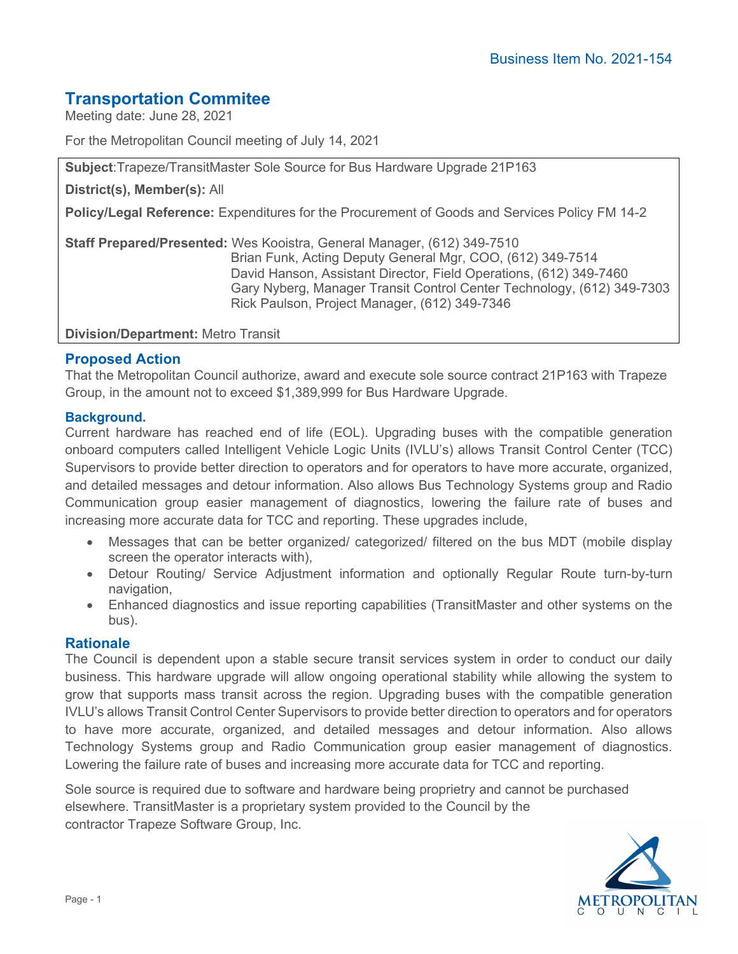# **Transportation Commitee**

Meeting date: June 28, 2021

For the Metropolitan Council meeting of July 14, 2021

**Subject**:Trapeze/TransitMaster Sole Source for Bus Hardware Upgrade 21P163

**District(s), Member(s):** All

**Policy/Legal Reference:** Expenditures for the Procurement of Goods and Services Policy FM 14-2

**Staff Prepared/Presented:** Wes Kooistra, General Manager, (612) 349-7510 Brian Funk, Acting Deputy General Mgr, COO, (612) 349-7514 David Hanson, Assistant Director, Field Operations, (612) 349-7460 Gary Nyberg, Manager Transit Control Center Technology, (612) 349-7303 Rick Paulson, Project Manager, (612) 349-7346

**Division/Department:** Metro Transit

#### **Proposed Action**

That the Metropolitan Council authorize, award and execute sole source contract 21P163 with Trapeze Group, in the amount not to exceed \$1,389,999 for Bus Hardware Upgrade.

#### **Background.**

Current hardware has reached end of life (EOL). Upgrading buses with the compatible generation onboard computers called Intelligent Vehicle Logic Units (IVLU's) allows Transit Control Center (TCC) Supervisors to provide better direction to operators and for operators to have more accurate, organized, and detailed messages and detour information. Also allows Bus Technology Systems group and Radio Communication group easier management of diagnostics, lowering the failure rate of buses and increasing more accurate data for TCC and reporting. These upgrades include,

- Messages that can be better organized/ categorized/ filtered on the bus MDT (mobile display screen the operator interacts with),
- Detour Routing/ Service Adjustment information and optionally Regular Route turn-by-turn navigation,
- Enhanced diagnostics and issue reporting capabilities (TransitMaster and other systems on the bus).

#### **Rationale**

The Council is dependent upon a stable secure transit services system in order to conduct our daily business. This hardware upgrade will allow ongoing operational stability while allowing the system to grow that supports mass transit across the region. Upgrading buses with the compatible generation IVLU's allows Transit Control Center Supervisors to provide better direction to operators and for operators to have more accurate, organized, and detailed messages and detour information. Also allows Technology Systems group and Radio Communication group easier management of diagnostics. Lowering the failure rate of buses and increasing more accurate data for TCC and reporting.

Sole source is required due to software and hardware being proprietry and cannot be purchased elsewhere. TransitMaster is a proprietary system provided to the Council by the contractor Trapeze Software Group, Inc.